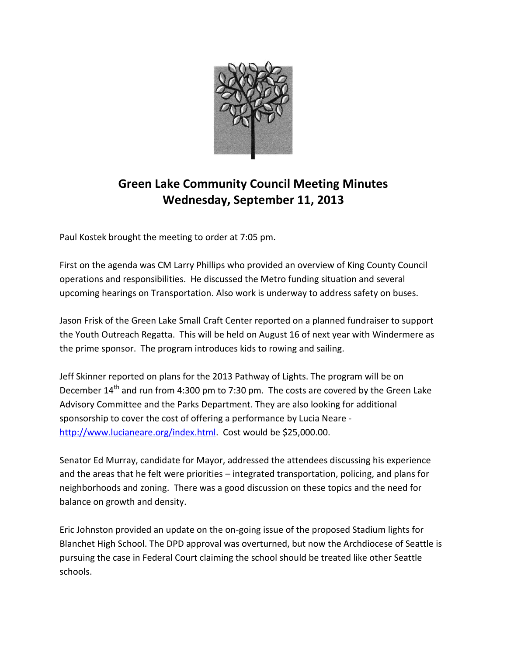

## **Green Lake Community Council Meeting Minutes Wednesday, September 11, 2013**

Paul Kostek brought the meeting to order at 7:05 pm.

First on the agenda was CM Larry Phillips who provided an overview of King County Council operations and responsibilities. He discussed the Metro funding situation and several upcoming hearings on Transportation. Also work is underway to address safety on buses.

Jason Frisk of the Green Lake Small Craft Center reported on a planned fundraiser to support the Youth Outreach Regatta. This will be held on August 16 of next year with Windermere as the prime sponsor. The program introduces kids to rowing and sailing.

Jeff Skinner reported on plans for the 2013 Pathway of Lights. The program will be on December 14<sup>th</sup> and run from 4:300 pm to 7:30 pm. The costs are covered by the Green Lake Advisory Committee and the Parks Department. They are also looking for additional sponsorship to cover the cost of offering a performance by Lucia Neare [http://www.lucianeare.org/index.html.](http://www.lucianeare.org/index.html) Cost would be \$25,000.00.

Senator Ed Murray, candidate for Mayor, addressed the attendees discussing his experience and the areas that he felt were priorities – integrated transportation, policing, and plans for neighborhoods and zoning. There was a good discussion on these topics and the need for balance on growth and density.

Eric Johnston provided an update on the on-going issue of the proposed Stadium lights for Blanchet High School. The DPD approval was overturned, but now the Archdiocese of Seattle is pursuing the case in Federal Court claiming the school should be treated like other Seattle schools.